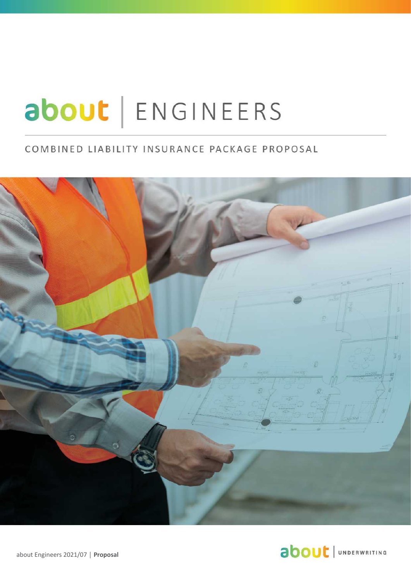# about | ENGINEERS

## COMBINED LIABILITY INSURANCE PACKAGE PROPOSAL



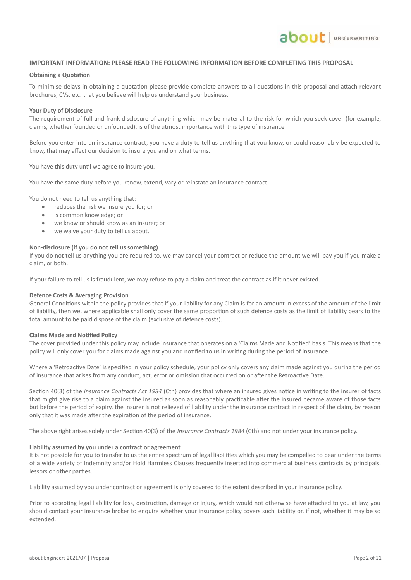#### **IMPORTANT INFORMATION: PLEASE READ THE FOLLOWING INFORMATION BEFORE COMPLETING THIS PROPOSAL**

#### **Obtaining a Quotation**

To minimise delays in obtaining a quotation please provide complete answers to all questions in this proposal and attach relevant brochures, CVs, etc. that you believe will help us understand your business.

#### **Your Duty of Disclosure**

The requirement of full and frank disclosure of anything which may be material to the risk for which you seek cover (for example, claims, whether founded or unfounded), is of the utmost importance with this type of insurance.

Before you enter into an insurance contract, you have a duty to tell us anything that you know, or could reasonably be expected to know, that may affect our decision to insure you and on what terms.

You have this duty until we agree to insure you.

You have the same duty before you renew, extend, vary or reinstate an insurance contract.

You do not need to tell us anything that:

- reduces the risk we insure you for; or
- is common knowledge; or
- we know or should know as an insurer; or
- we waive your duty to tell us about.

#### **Non-disclosure (if you do not tell us something)**

If you do not tell us anything you are required to, we may cancel your contract or reduce the amount we will pay you if you make a claim, or both.

If your failure to tell us is fraudulent, we may refuse to pay a claim and treat the contract as if it never existed.

#### **Defence Costs & Averaging Provision**

General Conditions within the policy provides that if your liability for any Claim is for an amount in excess of the amount of the limit of liability, then we, where applicable shall only cover the same proportion of such defence costs as the limit of liability bears to the total amount to be paid dispose of the claim (exclusive of defence costs).

#### **Claims Made and Notified Policy**

The cover provided under this policy may include insurance that operates on a 'Claims Made and Notified' basis. This means that the policy will only cover you for claims made against you and notified to us in writing during the period of insurance.

Where a 'Retroactive Date' is specified in your policy schedule, your policy only covers any claim made against you during the period of insurance that arises from any conduct, act, error or omission that occurred on or after the Retroactive Date.

Section 40(3) of the *Insurance Contracts Act 1984* (Cth) provides that where an insured gives notice in writing to the insurer of facts that might give rise to a claim against the insured as soon as reasonably practicable after the insured became aware of those facts but before the period of expiry, the insurer is not relieved of liability under the insurance contract in respect of the claim, by reason only that it was made after the expiration of the period of insurance.

The above right arises solely under Section 40(3) of the *Insurance Contracts 1984* (Cth) and not under your insurance policy.

#### **Liability assumed by you under a contract or agreement**

It is not possible for you to transfer to us the entire spectrum of legal liabilities which you may be compelled to bear under the terms of a wide variety of Indemnity and/or Hold Harmless Clauses frequently inserted into commercial business contracts by principals, lessors or other parties.

Liability assumed by you under contract or agreement is only covered to the extent described in your insurance policy.

Prior to accepting legal liability for loss, destruction, damage or injury, which would not otherwise have attached to you at law, you should contact your insurance broker to enquire whether your insurance policy covers such liability or, if not, whether it may be so extended.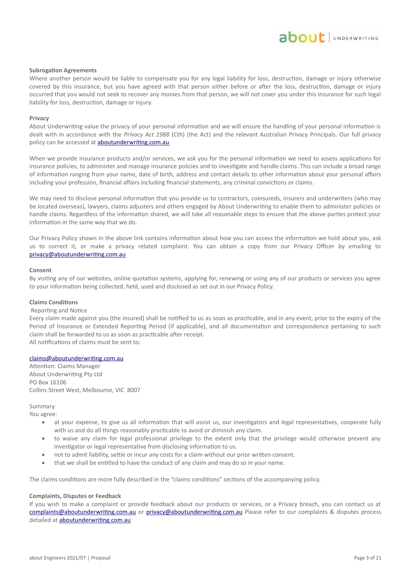#### **Subrogation Agreements**

Where another person would be liable to compensate you for any legal liability for loss, destruction, damage or injury otherwise covered by this insurance, but you have agreed with that person either before or after the loss, destruction, damage or injury occurred that you would not seek to recover any monies from that person, we will not cover you under this insurance for such legal liability for loss, destruction, damage or injury.

#### **Privacy**

About Underwriting value the privacy of your personal information and we will ensure the handling of your personal information is dealt with in accordance with the *Privacy Act 1988* (Cth) (the Act) and the relevant Australian Privacy Principals. Our full privacy policy can be accessed at **aboutunderwriting.com.au** 

When we provide insurance products and/or services, we ask you for the personal information we need to assess applications for insurance policies, to administer and manage insurance policies and to investigate and handle claims. This can include a broad range of information ranging from your name, date of birth, address and contact details to other information about your personal affairs including your profession, financial affairs including financial statements, any criminal convictions or claims.

We may need to disclose personal information that you provide us to contractors, coinsureds, insurers and underwriters (who may be located overseas), lawyers, claims adjusters and others engaged by About Underwriting to enable them to administer policies or handle claims. Regardless of the information shared, we will take all reasonable steps to ensure that the above parties protect your information in the same way that we do.

Our Privacy Policy shown in the above link contains information about how you can access the information we hold about you, ask us to correct it, or make a privacy related complaint. You can obtain a copy from our Privacy Officer by emailing to privacy@aboutunderwriting.com.au

#### **Consent**

By visiting any of our websites, online quotation systems, applying for, renewing or using any of our products or services you agree to your information being collected, held, used and disclosed as set out in our Privacy Policy.

#### **Claims Conditions**

#### Reporting and Notice

Every claim made against you (the insured) shall be notified to us as soon as practicable, and in any event, prior to the expiry of the Period of Insurance or Extended Reporting Period (if applicable), and all documentation and correspondence pertaining to such claim shall be forwarded to us as soon as practicable after receipt.

All notifications of claims must be sent to:

#### claims@aboutunderwriting.com.au

Attention: Claims Manager About Underwriting Pty Ltd PO Box 16106 Collins Street West, Melbourne, VIC 8007

#### Summary

You agree:

- at your expense, to give us all information that will assist us, our investigators and legal representatives, cooperate fully with us and do all things reasonably practicable to avoid or diminish any claim.
- to waive any claim for legal professional privilege to the extent only that the privilege would otherwise prevent any investigator or legal representative from disclosing information to us.
- not to admit liability, settle or incur any costs for a claim without our prior written consent.
- that we shall be entitled to have the conduct of any claim and may do so in your name.

The claims conditions are more fully described in the "claims conditions" sections of the accompanying policy.

#### **Complaints, Disputes or Feedback**

If you wish to make a complaint or provide feedback about our products or services, or a Privacy breach, you can contact us at complaints@aboutunderwriting.com.au or privacy@aboutunderwriting.com.au Please refer to our complaints & disputes process detailed at aboutunderwriting.com.au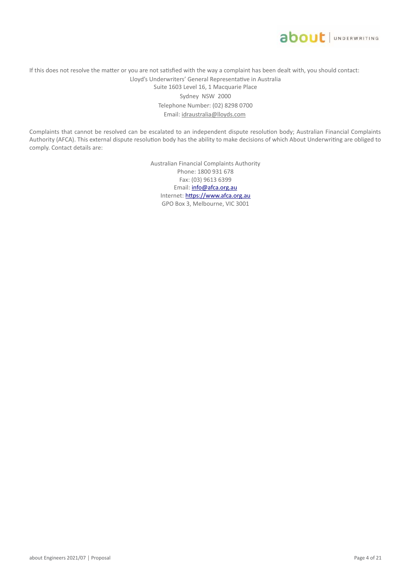

If this does not resolve the matter or you are not satisfied with the way a complaint has been dealt with, you should contact: Lloyd's Underwriters' General Representative in Australia Suite 1603 Level 16, 1 Macquarie Place Sydney NSW 2000 Telephone Number: (02) 8298 0700 Email: idraustralia@lloyds.com

Complaints that cannot be resolved can be escalated to an independent dispute resolution body; Australian Financial Complaints Authority (AFCA). This external dispute resolution body has the ability to make decisions of which About Underwriting are obliged to comply. Contact details are:

> Australian Financial Complaints Authority Phone: 1800 931 678 Fax: (03) 9613 6399 Email: info@afca.org.au Internet: https://www.afca.org.au GPO Box 3, Melbourne, VIC 3001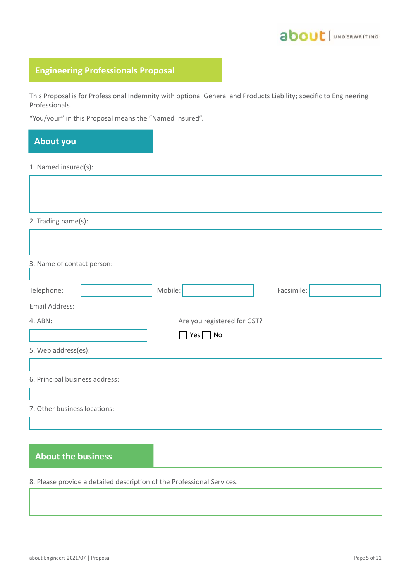

## **Engineering Professionals Proposal**

This Proposal is for Professional Indemnity with optional General and Products Liability; specific to Engineering Professionals.

"You/your" in this Proposal means the "Named Insured".

# 1. Named insured(s): 2. Trading name(s): 3. Name of contact person: Telephone:  $\vert$  Mobile:  $\vert$  Mobile: Facsimile: Email Address: 4. ABN: Are you registered for GST? 5. Web address(es): 6. Principal business address: 7. Other business locations: **About you**  $\Box$  Yes  $\Box$  No

## **About the business**

8. Please provide a detailed description of the Professional Services: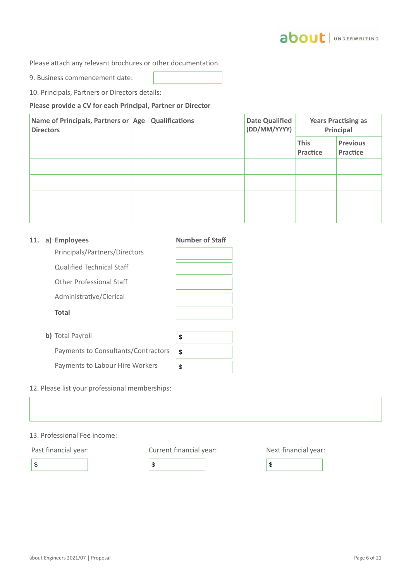Please attach any relevant brochures or other documentation.

9. Business commencement date:

10. Principals, Partners or Directors details:

**Please provide a CV for each Principal, Partner or Director**

| Name of Principals, Partners or Age<br><b>Directors</b> | <b>Qualifications</b> | <b>Date Qualified</b><br>(DD/MM/YYYY) | <b>Years Practising as</b><br>Principal |                             |
|---------------------------------------------------------|-----------------------|---------------------------------------|-----------------------------------------|-----------------------------|
|                                                         |                       |                                       | <b>This</b><br>Practice                 | <b>Previous</b><br>Practice |
|                                                         |                       |                                       |                                         |                             |
|                                                         |                       |                                       |                                         |                             |
|                                                         |                       |                                       |                                         |                             |
|                                                         |                       |                                       |                                         |                             |

| 11. | a) Employees                        | <b>Number of Staff</b> |
|-----|-------------------------------------|------------------------|
|     | Principals/Partners/Directors       |                        |
|     | <b>Qualified Technical Staff</b>    |                        |
|     | Other Professional Staff            |                        |
|     | Administrative/Clerical             |                        |
|     | <b>Total</b>                        |                        |
|     |                                     |                        |
|     | b) Total Payroll                    | \$                     |
|     | Payments to Consultants/Contractors | \$                     |
|     | Payments to Labour Hire Workers     | \$                     |
|     |                                     |                        |

## 12. Please list your professional memberships:

| 13. Professional Fee income: |                         |                      |
|------------------------------|-------------------------|----------------------|
| Past financial year:         | Current financial year: | Next financial year: |
| \$                           | \$                      | \$                   |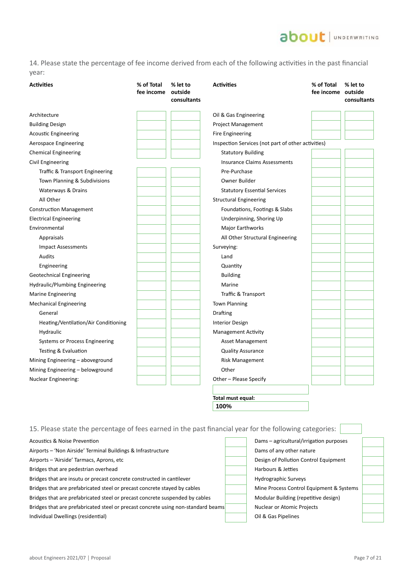## about | UNDERWRITING

14. Please state the percentage of fee income derived from each of the following activities in the past financial year:

| <b>Activities</b>                    | % of Total<br>fee income | % let to<br>outside<br>consultants | <b>Activities</b>                                  | % of Total<br>fee income outside | % let to<br>consultants |
|--------------------------------------|--------------------------|------------------------------------|----------------------------------------------------|----------------------------------|-------------------------|
| Architecture                         |                          |                                    | Oil & Gas Engineering                              |                                  |                         |
| <b>Building Design</b>               |                          |                                    | Project Management                                 |                                  |                         |
| <b>Acoustic Engineering</b>          |                          |                                    | <b>Fire Engineering</b>                            |                                  |                         |
| Aerospace Engineering                |                          |                                    | Inspection Services (not part of other activities) |                                  |                         |
| <b>Chemical Engineering</b>          |                          |                                    | <b>Statutory Building</b>                          |                                  |                         |
| Civil Engineering                    |                          |                                    | <b>Insurance Claims Assessments</b>                |                                  |                         |
| Traffic & Transport Engineering      |                          |                                    | Pre-Purchase                                       |                                  |                         |
| Town Planning & Subdivisions         |                          |                                    | Owner Builder                                      |                                  |                         |
| Waterways & Drains                   |                          |                                    | <b>Statutory Essential Services</b>                |                                  |                         |
| All Other                            |                          |                                    | <b>Structural Engineering</b>                      |                                  |                         |
| <b>Construction Management</b>       |                          |                                    | Foundations, Footings & Slabs                      |                                  |                         |
| <b>Electrical Engineering</b>        |                          |                                    | Underpinning, Shoring Up                           |                                  |                         |
| Environmental                        |                          |                                    | Major Earthworks                                   |                                  |                         |
| Appraisals                           |                          |                                    | All Other Structural Engineering                   |                                  |                         |
| <b>Impact Assessments</b>            |                          |                                    | Surveying:                                         |                                  |                         |
| Audits                               |                          |                                    | Land                                               |                                  |                         |
| Engineering                          |                          |                                    | Quantity                                           |                                  |                         |
| <b>Geotechnical Engineering</b>      |                          |                                    | <b>Building</b>                                    |                                  |                         |
| Hydraulic/Plumbing Engineering       |                          |                                    | Marine                                             |                                  |                         |
| Marine Engineering                   |                          |                                    | Traffic & Transport                                |                                  |                         |
| <b>Mechanical Engineering</b>        |                          |                                    | <b>Town Planning</b>                               |                                  |                         |
| General                              |                          |                                    | <b>Drafting</b>                                    |                                  |                         |
| Heating/Ventilation/Air Conditioning |                          |                                    | <b>Interior Design</b>                             |                                  |                         |
| Hydraulic                            |                          |                                    | <b>Management Activity</b>                         |                                  |                         |
| Systems or Process Engineering       |                          |                                    | Asset Management                                   |                                  |                         |
| Testing & Evaluation                 |                          |                                    | <b>Quality Assurance</b>                           |                                  |                         |
| Mining Engineering - aboveground     |                          |                                    | <b>Risk Management</b>                             |                                  |                         |
| Mining Engineering - belowground     |                          |                                    | Other                                              |                                  |                         |
| <b>Nuclear Engineering:</b>          |                          |                                    | Other - Please Specify                             |                                  |                         |
|                                      |                          |                                    |                                                    |                                  |                         |

**Total must equal: 100%**

| 15. Please state the percentage of fees earned in the past financial year for the following categories: |  |                                          |  |  |  |
|---------------------------------------------------------------------------------------------------------|--|------------------------------------------|--|--|--|
| Acoustics & Noise Prevention                                                                            |  | Dams - agricultural/irrigation purposes  |  |  |  |
| Airports - 'Non Airside' Terminal Buildings & Infrastructure                                            |  | Dams of any other nature                 |  |  |  |
| Airports - 'Airside' Tarmacs, Aprons, etc                                                               |  | Design of Pollution Control Equipment    |  |  |  |
| Bridges that are pedestrian overhead                                                                    |  | Harbours & Jetties                       |  |  |  |
| Bridges that are insutu or precast concrete constructed in cantilever                                   |  | Hydrographic Surveys                     |  |  |  |
| Bridges that are prefabricated steel or precast concrete stayed by cables                               |  | Mine Process Control Equipment & Systems |  |  |  |
| Bridges that are prefabricated steel or precast concrete suspended by cables                            |  | Modular Building (repetitive design)     |  |  |  |
| Bridges that are prefabricated steel or precast concrete using non-standard beams                       |  | Nuclear or Atomic Projects               |  |  |  |
| Individual Dwellings (residential)                                                                      |  | Oil & Gas Pipelines                      |  |  |  |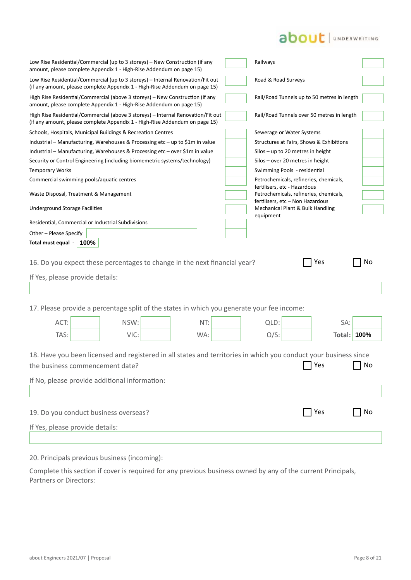## about | UNDERWRITING

| amount, please complete Appendix 1 - High-Rise Addendum on page 15)                                                                                                                                  | Low Rise Residential/Commercial (up to 3 storeys) – New Construction (if any<br>Railways |
|------------------------------------------------------------------------------------------------------------------------------------------------------------------------------------------------------|------------------------------------------------------------------------------------------|
| Low Rise Residential/Commercial (up to 3 storeys) - Internal Renovation/Fit out<br>(if any amount, please complete Appendix 1 - High-Rise Addendum on page 15)                                       | Road & Road Surveys                                                                      |
| High Rise Residential/Commercial (above 3 storeys) – New Construction (if any<br>amount, please complete Appendix 1 - High-Rise Addendum on page 15)                                                 | Rail/Road Tunnels up to 50 metres in length                                              |
| High Rise Residential/Commercial (above 3 storeys) - Internal Renovation/Fit out<br>(if any amount, please complete Appendix 1 - High-Rise Addendum on page 15)                                      | Rail/Road Tunnels over 50 metres in length                                               |
| Schools, Hospitals, Municipal Buildings & Recreation Centres                                                                                                                                         | Sewerage or Water Systems                                                                |
| Industrial – Manufacturing, Warehouses & Processing etc – up to \$1m in value                                                                                                                        | Structures at Fairs, Shows & Exhibitions                                                 |
| Industrial – Manufacturing, Warehouses & Processing etc – over \$1m in value                                                                                                                         | Silos - up to 20 metres in height                                                        |
| Security or Control Engineering (including biomemetric systems/technology)                                                                                                                           | Silos - over 20 metres in height                                                         |
| <b>Temporary Works</b>                                                                                                                                                                               | Swimming Pools - residential                                                             |
| Commercial swimming pools/aquatic centres                                                                                                                                                            | Petrochemicals, refineries, chemicals,<br>fertilisers, etc - Hazardous                   |
| Waste Disposal, Treatment & Management                                                                                                                                                               | Petrochemicals, refineries, chemicals,                                                   |
|                                                                                                                                                                                                      | fertilisers, etc - Non Hazardous                                                         |
| <b>Underground Storage Facilities</b>                                                                                                                                                                | Mechanical Plant & Bulk Handling<br>equipment                                            |
| Residential, Commercial or Industrial Subdivisions                                                                                                                                                   |                                                                                          |
| Other - Please Specify                                                                                                                                                                               |                                                                                          |
| Total must equal - 100%                                                                                                                                                                              |                                                                                          |
| 16. Do you expect these percentages to change in the next financial year?                                                                                                                            |                                                                                          |
| If Yes, please provide details:                                                                                                                                                                      |                                                                                          |
| 17. Please provide a percentage split of the states in which you generate your fee income:                                                                                                           |                                                                                          |
| NSW:<br>ACT:<br>NT:                                                                                                                                                                                  |                                                                                          |
|                                                                                                                                                                                                      | QLD:<br>SA:                                                                              |
| TAS:<br>VIC:<br>WA:                                                                                                                                                                                  | <b>Total: 100%</b><br>$O/S$ :                                                            |
| 18. Have you been licensed and registered in all states and territories in which you conduct your business since<br>the business commencement date?<br>If No, please provide additional information: | Yes<br>No                                                                                |
|                                                                                                                                                                                                      |                                                                                          |
| 19. Do you conduct business overseas?                                                                                                                                                                | T Yes<br>No                                                                              |
| If Yes, please provide details:                                                                                                                                                                      |                                                                                          |

20. Principals previous business (incoming):

Complete this section if cover is required for any previous business owned by any of the current Principals, Partners or Directors: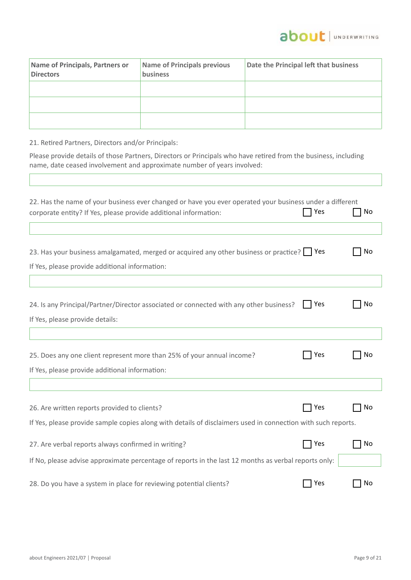

| Name of Principals, Partners or<br><b>Directors</b> | <b>Name of Principals previous</b><br>business | Date the Principal left that business |
|-----------------------------------------------------|------------------------------------------------|---------------------------------------|
|                                                     |                                                |                                       |
|                                                     |                                                |                                       |
|                                                     |                                                |                                       |

21. Retired Partners, Directors and/or Principals:

 $\sqrt{2}$ 

Please provide details of those Partners, Directors or Principals who have retired from the business, including name, date ceased involvement and approximate number of years involved:

| 22. Has the name of your business ever changed or have you ever operated your business under a different<br>corporate entity? If Yes, please provide additional information: | Yes   | No |
|------------------------------------------------------------------------------------------------------------------------------------------------------------------------------|-------|----|
| 23. Has your business amalgamated, merged or acquired any other business or practice? Pes<br>If Yes, please provide additional information:                                  |       | No |
| 24. Is any Principal/Partner/Director associated or connected with any other business?<br>If Yes, please provide details:                                                    | Yes   | No |
| 25. Does any one client represent more than 25% of your annual income?<br>If Yes, please provide additional information:                                                     | Yes   | No |
| 26. Are written reports provided to clients?                                                                                                                                 | Yes   | No |
| If Yes, please provide sample copies along with details of disclaimers used in connection with such reports.                                                                 |       |    |
| 27. Are verbal reports always confirmed in writing?<br>If No, please advise approximate percentage of reports in the last 12 months as verbal reports only:                  | 7 Yes | No |
| 28. Do you have a system in place for reviewing potential clients?                                                                                                           | Yes   | No |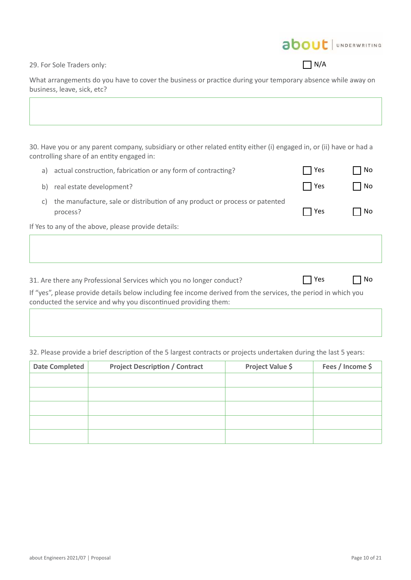about JUNDERWRITING

29. For Sole Traders only:

 $\prod N/A$ 

What arrangements do you have to cover the business or practice during your temporary absence while away on business, leave, sick, etc?

30. Have you or any parent company, subsidiary or other related entity either (i) engaged in, or (ii) have or had a controlling share of an entity engaged in:

| a) | actual construction, fabrication or any form of contracting?                                                                                                                     | Yes | No |
|----|----------------------------------------------------------------------------------------------------------------------------------------------------------------------------------|-----|----|
| b) | real estate development?                                                                                                                                                         | Yes | No |
| C) | the manufacture, sale or distribution of any product or process or patented<br>process?                                                                                          | Yes | No |
|    | If Yes to any of the above, please provide details:                                                                                                                              |     |    |
|    |                                                                                                                                                                                  |     |    |
|    |                                                                                                                                                                                  |     |    |
|    | 31. Are there any Professional Services which you no longer conduct?                                                                                                             | Yes | No |
|    | If "yes", please provide details below including fee income derived from the services, the period in which you<br>conducted the service and why you discontinued providing them: |     |    |
|    |                                                                                                                                                                                  |     |    |

### 32. Please provide a brief description of the 5 largest contracts or projects undertaken during the last 5 years:

| <b>Date Completed</b> | <b>Project Description / Contract</b> | Project Value \$ | Fees / Income \$ |
|-----------------------|---------------------------------------|------------------|------------------|
|                       |                                       |                  |                  |
|                       |                                       |                  |                  |
|                       |                                       |                  |                  |
|                       |                                       |                  |                  |
|                       |                                       |                  |                  |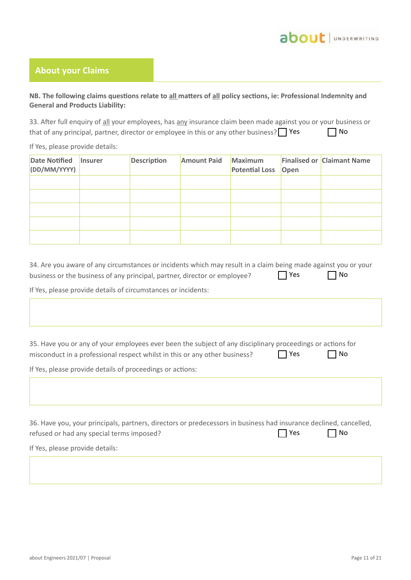## **About your Claims**

## **NB. The following claims questions relate to all matters of all policy sections, ie: Professional Indemnity and General and Products Liability:**

33. After full enquiry of all your employees, has any insurance claim been made against you or your business or that of any principal, partner, director or employee in this or any other business?  $\Box$  Yes  $\Box$  No

If Yes, please provide details:

| Date Notified   Insurer<br>(DD/MM/YYYY) | <b>Description</b> | <b>Amount Paid</b> | Maximum<br><b>Potential Loss</b> | Open | <b>Finalised or Claimant Name</b> |
|-----------------------------------------|--------------------|--------------------|----------------------------------|------|-----------------------------------|
|                                         |                    |                    |                                  |      |                                   |
|                                         |                    |                    |                                  |      |                                   |
|                                         |                    |                    |                                  |      |                                   |
|                                         |                    |                    |                                  |      |                                   |
|                                         |                    |                    |                                  |      |                                   |

| 34. Are you aware of any circumstances or incidents which may result in a claim being made against you or your |            |           |
|----------------------------------------------------------------------------------------------------------------|------------|-----------|
| business or the business of any principal, partner, director or employee?                                      | $\Box$ Yes | $\Box$ No |

If Yes, please provide details of circumstances or incidents:

35. Have you or any of your employees ever been the subject of any disciplinary proceedings or actions for misconduct in a professional respect whilst in this or any other business?  $\Box$  Yes  $\Box$  No

If Yes, please provide details of proceedings or actions:

| 36. Have you, your principals, partners, directors or predecessors in business had insurance declined, cancelled, |            |           |
|-------------------------------------------------------------------------------------------------------------------|------------|-----------|
| refused or had any special terms imposed?                                                                         | $\Box$ Yes | $\Box$ No |

If Yes, please provide details: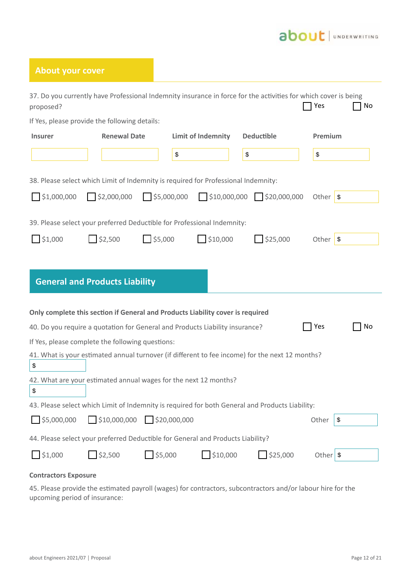## about JUNDERWRITING

## **About your cover**

| 37. Do you currently have Professional Indemnity insurance in force for the activities for which cover is being<br>proposed? |                                         |                       |                           |                                         | Yes                 | No |
|------------------------------------------------------------------------------------------------------------------------------|-----------------------------------------|-----------------------|---------------------------|-----------------------------------------|---------------------|----|
| If Yes, please provide the following details:                                                                                |                                         |                       |                           |                                         |                     |    |
| <b>Insurer</b>                                                                                                               | <b>Renewal Date</b>                     |                       | <b>Limit of Indemnity</b> | <b>Deductible</b>                       | Premium             |    |
|                                                                                                                              |                                         | \$                    |                           | \$                                      | \$                  |    |
| 38. Please select which Limit of Indemnity is required for Professional Indemnity:                                           |                                         |                       |                           |                                         |                     |    |
| \$1,000,000                                                                                                                  | $\sqrt{\frac{1}{2}$ ,000,000            | $\Box$ \$5,000,000    |                           | $\frac{1}{2}$ \$10,000,000 \$20,000,000 | Other $\sqrt{s}$    |    |
| 39. Please select your preferred Deductible for Professional Indemnity:                                                      |                                         |                       |                           |                                         |                     |    |
| \$1,000                                                                                                                      | \$2,500                                 | $\frac{1}{55,000}$    | $\frac{1}{2}$ \$10,000    | \$25,000                                | Other $\sqrt{s}$    |    |
|                                                                                                                              | <b>General and Products Liability</b>   |                       |                           |                                         |                     |    |
| Only complete this section if General and Products Liability cover is required                                               |                                         |                       |                           |                                         |                     |    |
| 40. Do you require a quotation for General and Products Liability insurance?                                                 |                                         |                       |                           |                                         | Yes                 | No |
| If Yes, please complete the following questions:                                                                             |                                         |                       |                           |                                         |                     |    |
| 41. What is your estimated annual turnover (if different to fee income) for the next 12 months?<br>\$                        |                                         |                       |                           |                                         |                     |    |
| 42. What are your estimated annual wages for the next 12 months?<br>\$                                                       |                                         |                       |                           |                                         |                     |    |
| 43. Please select which Limit of Indemnity is required for both General and Products Liability:                              |                                         |                       |                           |                                         |                     |    |
| $\Box$ \$5,000,000                                                                                                           | $\Box$ \$10,000,000 $\Box$ \$20,000,000 |                       |                           |                                         | Other<br> \$        |    |
| 44. Please select your preferred Deductible for General and Products Liability?                                              |                                         |                       |                           |                                         |                     |    |
| $\sqrt{51,000}$                                                                                                              | \$2,500                                 | $\frac{1}{2}$ \$5,000 | $\Box$ \$10,000           | $\bigcap$ \$25,000                      | Other $\frac{1}{3}$ |    |
| <b>Contractors Exposure</b>                                                                                                  |                                         |                       |                           |                                         |                     |    |

45. Please provide the estimated payroll (wages) for contractors, subcontractors and/or labour hire for the upcoming period of insurance: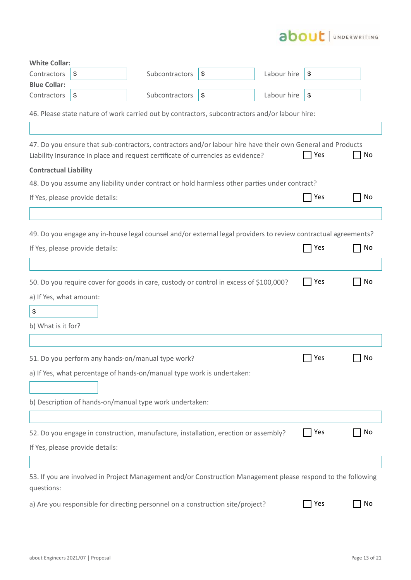

| <b>White Collar:</b>         |                                 |                                                                                                                                                                                               |    |             |                 |    |
|------------------------------|---------------------------------|-----------------------------------------------------------------------------------------------------------------------------------------------------------------------------------------------|----|-------------|-----------------|----|
| Contractors                  | \$                              | Subcontractors                                                                                                                                                                                | \$ | Labour hire | \$              |    |
| <b>Blue Collar:</b>          |                                 |                                                                                                                                                                                               |    |             |                 |    |
| Contractors                  | \$                              | Subcontractors                                                                                                                                                                                | \$ | Labour hire | \$              |    |
|                              |                                 | 46. Please state nature of work carried out by contractors, subcontractors and/or labour hire:                                                                                                |    |             |                 |    |
|                              |                                 | 47. Do you ensure that sub-contractors, contractors and/or labour hire have their own General and Products<br>Liability Insurance in place and request certificate of currencies as evidence? |    |             | Yes             | No |
| <b>Contractual Liability</b> |                                 |                                                                                                                                                                                               |    |             |                 |    |
|                              |                                 | 48. Do you assume any liability under contract or hold harmless other parties under contract?                                                                                                 |    |             |                 |    |
|                              | If Yes, please provide details: |                                                                                                                                                                                               |    |             | $\sqsupset$ Yes | No |
|                              |                                 | 49. Do you engage any in-house legal counsel and/or external legal providers to review contractual agreements?                                                                                |    |             |                 |    |
|                              | If Yes, please provide details: |                                                                                                                                                                                               |    |             | Yes             | No |
|                              |                                 |                                                                                                                                                                                               |    |             |                 |    |
|                              |                                 |                                                                                                                                                                                               |    |             |                 |    |
|                              |                                 | 50. Do you require cover for goods in care, custody or control in excess of \$100,000?                                                                                                        |    |             | Yes             | No |
| a) If Yes, what amount:      |                                 |                                                                                                                                                                                               |    |             |                 |    |
| \$                           |                                 |                                                                                                                                                                                               |    |             |                 |    |
| b) What is it for?           |                                 |                                                                                                                                                                                               |    |             |                 |    |
|                              |                                 |                                                                                                                                                                                               |    |             |                 |    |
|                              |                                 |                                                                                                                                                                                               |    |             | Yes             | No |
|                              |                                 | 51. Do you perform any hands-on/manual type work?                                                                                                                                             |    |             |                 |    |
|                              |                                 | a) If Yes, what percentage of hands-on/manual type work is undertaken:                                                                                                                        |    |             |                 |    |
|                              |                                 |                                                                                                                                                                                               |    |             |                 |    |
|                              |                                 | b) Description of hands-on/manual type work undertaken:                                                                                                                                       |    |             |                 |    |
|                              |                                 |                                                                                                                                                                                               |    |             |                 |    |
|                              |                                 | 52. Do you engage in construction, manufacture, installation, erection or assembly?                                                                                                           |    |             | Yes             | No |
|                              | If Yes, please provide details: |                                                                                                                                                                                               |    |             |                 |    |
|                              |                                 |                                                                                                                                                                                               |    |             |                 |    |
| questions:                   |                                 | 53. If you are involved in Project Management and/or Construction Management please respond to the following                                                                                  |    |             |                 |    |
|                              |                                 | a) Are you responsible for directing personnel on a construction site/project?                                                                                                                |    |             | Yes             | No |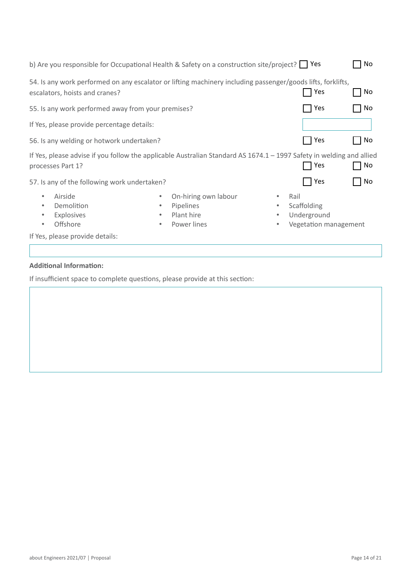| b) Are you responsible for Occupational Health & Safety on a construction site/project? $\Box$ Yes                                            |                                                                                           |                                  |                                                     | No |
|-----------------------------------------------------------------------------------------------------------------------------------------------|-------------------------------------------------------------------------------------------|----------------------------------|-----------------------------------------------------|----|
| 54. Is any work performed on any escalator or lifting machinery including passenger/goods lifts, forklifts,<br>escalators, hoists and cranes? |                                                                                           |                                  | Yes                                                 | No |
| 55. Is any work performed away from your premises?                                                                                            |                                                                                           |                                  | Yes                                                 | No |
| If Yes, please provide percentage details:                                                                                                    |                                                                                           |                                  |                                                     |    |
| 56. Is any welding or hotwork undertaken?                                                                                                     |                                                                                           |                                  | Yes                                                 | No |
| If Yes, please advise if you follow the applicable Australian Standard AS 1674.1 - 1997 Safety in welding and allied<br>processes Part 1?     |                                                                                           |                                  | Yes                                                 | No |
| 57. Is any of the following work undertaken?                                                                                                  |                                                                                           |                                  | Yes                                                 | No |
| Airside<br>$\bullet$<br>Demolition<br>$\bullet$<br>Explosives<br>$\bullet$<br>Offshore<br>$\bullet$<br>If Yes, please provide details:        | On-hiring own labour<br>۰<br><b>Pipelines</b><br>۰<br>Plant hire<br>۰<br>Power lines<br>۰ | Rail<br>۰<br>$\bullet$<br>۰<br>۰ | Scaffolding<br>Underground<br>Vegetation management |    |
|                                                                                                                                               |                                                                                           |                                  |                                                     |    |

## **Additional Information:**

If insufficient space to complete questions, please provide at this section: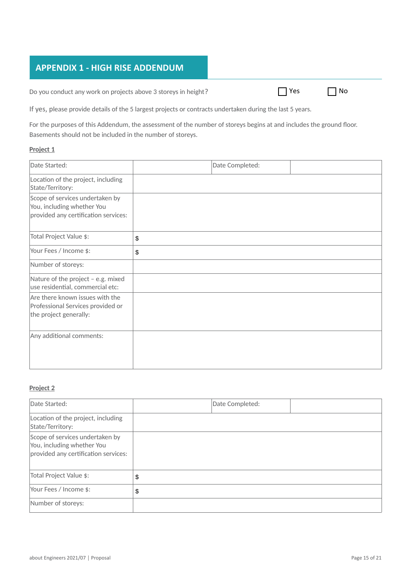## **APPENDIX 1 - HIGH RISE ADDENDUM**

Do you conduct any work on projects above 3 storeys in height?

| Υρς | N <sub>0</sub> |
|-----|----------------|
|     |                |

If yes, please provide details of the 5 largest projects or contracts undertaken during the last 5 years.

For the purposes of this Addendum, the assessment of the number of storeys begins at and includes the ground floor. Basements should not be included in the number of storeys.

#### **Project 1**

| Date Started:                                                                                         | Date Completed: |  |
|-------------------------------------------------------------------------------------------------------|-----------------|--|
| Location of the project, including<br>State/Territory:                                                |                 |  |
| Scope of services undertaken by<br>You, including whether You<br>provided any certification services: |                 |  |
| Total Project Value \$:                                                                               | \$              |  |
| Your Fees / Income \$:                                                                                | \$              |  |
| Number of storeys:                                                                                    |                 |  |
| Nature of the project - e.g. mixed<br>use residential, commercial etc:                                |                 |  |
| Are there known issues with the<br>Professional Services provided or<br>the project generally:        |                 |  |
| Any additional comments:                                                                              |                 |  |

### **Project 2**

| Date Started:                                                                                         | Date Completed: |  |
|-------------------------------------------------------------------------------------------------------|-----------------|--|
| Location of the project, including<br>State/Territory:                                                |                 |  |
| Scope of services undertaken by<br>You, including whether You<br>provided any certification services: |                 |  |
| Total Project Value \$:                                                                               | \$              |  |
| Your Fees / Income \$:                                                                                | \$              |  |
| Number of storeys:                                                                                    |                 |  |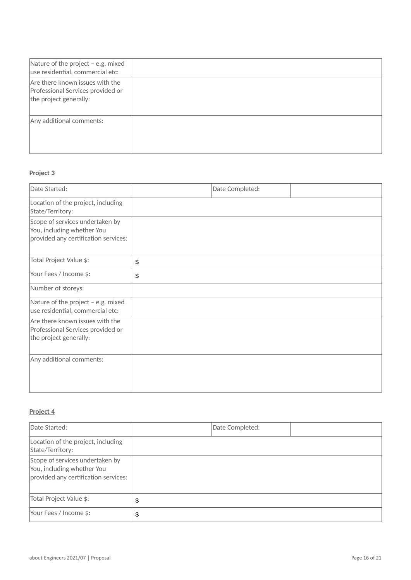| Nature of the project - e.g. mixed<br>use residential, commercial etc:                         |  |
|------------------------------------------------------------------------------------------------|--|
| Are there known issues with the<br>Professional Services provided or<br>the project generally: |  |
| Any additional comments:                                                                       |  |

### **Project 3**

| Date Started:                                                                                         | Date Completed: |  |
|-------------------------------------------------------------------------------------------------------|-----------------|--|
| Location of the project, including<br>State/Territory:                                                |                 |  |
| Scope of services undertaken by<br>You, including whether You<br>provided any certification services: |                 |  |
| Total Project Value \$:                                                                               | \$              |  |
| Your Fees / Income \$:                                                                                | \$              |  |
| Number of storeys:                                                                                    |                 |  |
| Nature of the project - e.g. mixed<br>use residential, commercial etc:                                |                 |  |
| Are there known issues with the<br>Professional Services provided or<br>the project generally:        |                 |  |
| Any additional comments:                                                                              |                 |  |

### **Project 4**

| Date Started:                                                                                         | Date Completed: |  |
|-------------------------------------------------------------------------------------------------------|-----------------|--|
| Location of the project, including<br>State/Territory:                                                |                 |  |
| Scope of services undertaken by<br>You, including whether You<br>provided any certification services: |                 |  |
| Total Project Value \$:                                                                               | \$              |  |
| Your Fees / Income \$:                                                                                | \$              |  |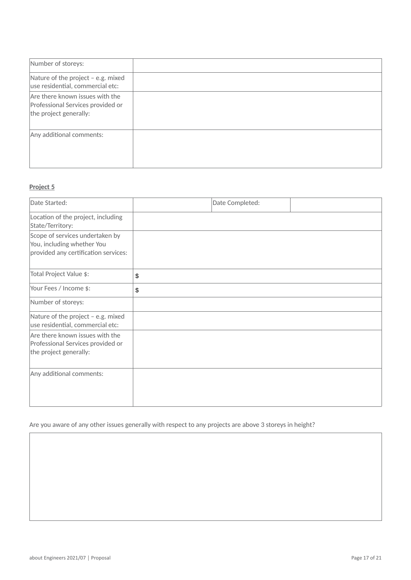| Number of storeys:                                                                             |  |
|------------------------------------------------------------------------------------------------|--|
| Nature of the project - e.g. mixed<br>use residential, commercial etc:                         |  |
| Are there known issues with the<br>Professional Services provided or<br>the project generally: |  |
| Any additional comments:                                                                       |  |

## **Project 5**

| Date Started:                                                                                         | Date Completed: |  |
|-------------------------------------------------------------------------------------------------------|-----------------|--|
| Location of the project, including<br>State/Territory:                                                |                 |  |
| Scope of services undertaken by<br>You, including whether You<br>provided any certification services: |                 |  |
| Total Project Value \$:                                                                               | \$              |  |
| Your Fees / Income \$:                                                                                | \$              |  |
| Number of storeys:                                                                                    |                 |  |
| Nature of the project - e.g. mixed<br>use residential, commercial etc:                                |                 |  |
| Are there known issues with the<br>Professional Services provided or<br>the project generally:        |                 |  |
| Any additional comments:                                                                              |                 |  |

Are you aware of any other issues generally with respect to any projects are above 3 storeys in height?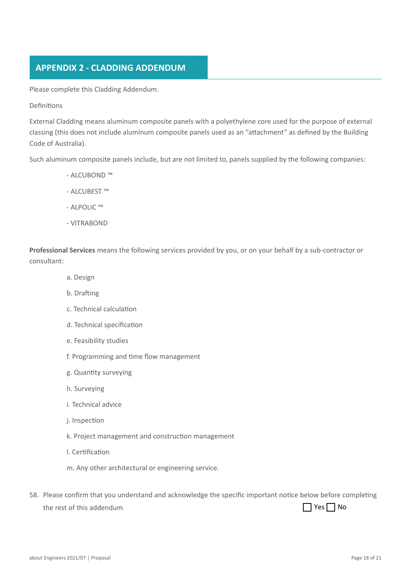## **APPENDIX 2 - CLADDING ADDENDUM**

Please complete this Cladding Addendum.

#### Definitions

External Cladding means aluminum composite panels with a polyethylene core used for the purpose of external classing (this does not include aluminum composite panels used as an "attachment" as defined by the Building Code of Australia).

Such aluminum composite panels include, but are not limited to, panels supplied by the following companies:

- ALCUBOND ™
- ALCUBEST ™
- ALPOLIC ™
- VITRABOND

**Professional Services** means the following services provided by you, or on your behalf by a sub-contractor or consultant:

- a. Design
- b. Drafting
- c. Technical calculation
- d. Technical specification
- e. Feasibility studies
- f. Programming and time flow management
- g. Quantity surveying
- h. Surveying
- i. Technical advice
- j. Inspection
- k. Project management and construction management
- l. Certification
- m. Any other architectural or engineering service.
- 58. Please confirm that you understand and acknowledge the specific important notice below before completing the rest of this addendum ■ Yes ■ No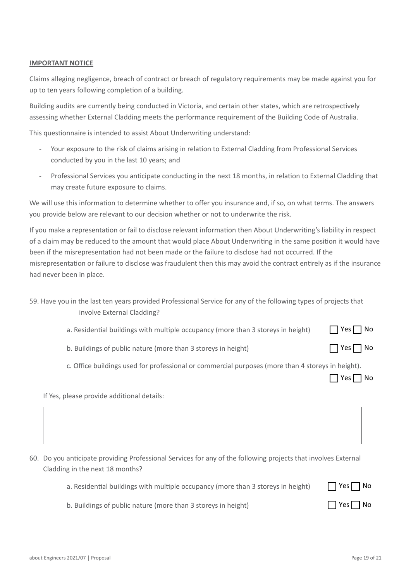#### **IMPORTANT NOTICE**

Claims alleging negligence, breach of contract or breach of regulatory requirements may be made against you for up to ten years following completion of a building.

Building audits are currently being conducted in Victoria, and certain other states, which are retrospectively assessing whether External Cladding meets the performance requirement of the Building Code of Australia.

This questionnaire is intended to assist About Underwriting understand:

- Your exposure to the risk of claims arising in relation to External Cladding from Professional Services conducted by you in the last 10 years; and
- Professional Services you anticipate conducting in the next 18 months, in relation to External Cladding that may create future exposure to claims.

We will use this information to determine whether to offer you insurance and, if so, on what terms. The answers you provide below are relevant to our decision whether or not to underwrite the risk.

If you make a representation or fail to disclose relevant information then About Underwriting's liability in respect of a claim may be reduced to the amount that would place About Underwriting in the same position it would have been if the misrepresentation had not been made or the failure to disclose had not occurred. If the misrepresentation or failure to disclose was fraudulent then this may avoid the contract entirely as if the insurance had never been in place.

|                            | 59. Have you in the last ten years provided Professional Service for any of the following types of projects that |
|----------------------------|------------------------------------------------------------------------------------------------------------------|
| involve External Cladding? |                                                                                                                  |

- a. Residential buildings with multiple occupancy (more than 3 storeys in height)  $\Box$  Yes  $\Box$  No
- b. Buildings of public nature (more than 3 storeys in height)
- c. Office buildings used for professional or commercial purposes (more than 4 storeys in height).

|  |  | Nn |
|--|--|----|
|--|--|----|

 $\Box$  Yes  $\Box$  No

If Yes, please provide additional details:

60. Do you anticipate providing Professional Services for any of the following projects that involves External Cladding in the next 18 months?

|  |  |  |  |  | a. Residential buildings with multiple occupancy (more than 3 storeys in height) |  |  |  |  |
|--|--|--|--|--|----------------------------------------------------------------------------------|--|--|--|--|
|--|--|--|--|--|----------------------------------------------------------------------------------|--|--|--|--|

| $\Box$ Yes $\Box$ No |  |
|----------------------|--|
| $\Box$ Yes $\Box$ No |  |

b. Buildings of public nature (more than 3 storeys in height)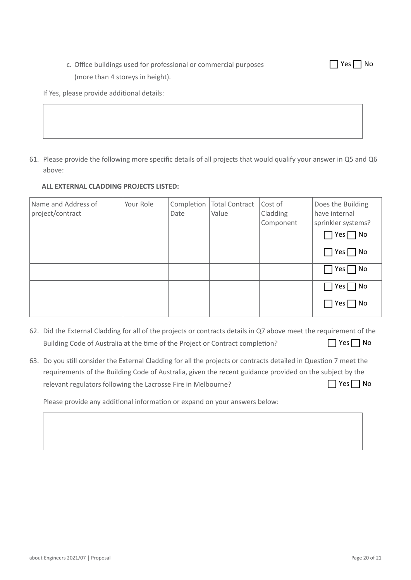## c. Office buildings used for professional or commercial purposes (more than 4 storeys in height).

If Yes, please provide additional details:

61. Please provide the following more specific details of all projects that would qualify your answer in Q5 and Q6 above:

## **ALL EXTERNAL CLADDING PROJECTS LISTED:**

| Name and Address of<br>project/contract | Your Role | Completion<br>Date | <b>Total Contract</b><br>Value | Cost of<br>Cladding<br>Component | Does the Building<br>have internal<br>sprinkler systems? |
|-----------------------------------------|-----------|--------------------|--------------------------------|----------------------------------|----------------------------------------------------------|
|                                         |           |                    |                                |                                  | $\Box$ Yes $\Box$ No                                     |
|                                         |           |                    |                                |                                  | $\Box$ Yes $\Box$ No                                     |
|                                         |           |                    |                                |                                  | $\Box$ Yes $\Box$ No                                     |
|                                         |           |                    |                                |                                  | $\Box$ Yes $\Box$ No                                     |
|                                         |           |                    |                                |                                  | $\Box$ Yes $\Box$ No                                     |

- 62. Did the External Cladding for all of the projects or contracts details in Q7 above meet the requirement of the Building Code of Australia at the time of the Project or Contract completion?  $\Box$  Yes  $\Box$  No
- 63. Do you still consider the External Cladding for all the projects or contracts detailed in Question 7 meet the requirements of the Building Code of Australia, given the recent guidance provided on the subject by the relevant regulators following the Lacrosse Fire in Melbourne?  $\Box$  Yes  $\Box$  No

Please provide any additional information or expand on your answers below:

 $\Box$  Yes  $\Box$  No